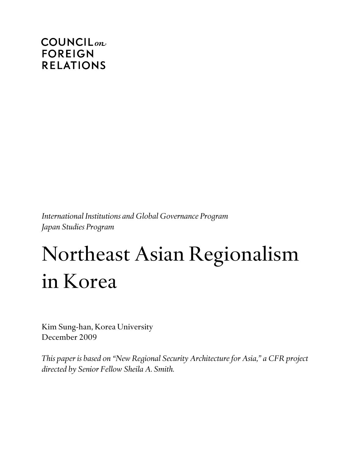# **COUNCIL**<sub>on</sub> **FOREIGN RELATIONS**

*International Institutions and Global Governance Program Japan Studies Program*

# Northeast Asian Regionalism in Korea

Kim Sung-han, Korea University December 2009

*This paper is based on "New Regional Security Architecture for Asia," a CFR project directed by Senior Fellow Sheila A. Smith.*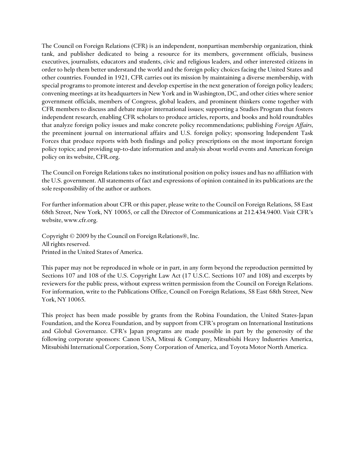The Council on Foreign Relations (CFR) is an independent, nonpartisan membership organization, think tank, and publisher dedicated to being a resource for its members, government officials, business executives, journalists, educators and students, civic and religious leaders, and other interested citizens in order to help them better understand the world and the foreign policy choices facing the United States and other countries. Founded in 1921, CFR carries out its mission by maintaining a diverse membership, with special programs to promote interest and develop expertise in the next generation of foreign policy leaders; convening meetings at its headquarters in New York and in Washington, DC, and other cities where senior government officials, members of Congress, global leaders, and prominent thinkers come together with CFR members to discuss and debate major international issues; supporting a Studies Program that fosters independent research, enabling CFR scholars to produce articles, reports, and books and hold roundtables that analyze foreign policy issues and make concrete policy recommendations; publishing *Foreign Affairs*, the preeminent journal on international affairs and U.S. foreign policy; sponsoring Independent Task Forces that produce reports with both findings and policy prescriptions on the most important foreign policy topics; and providing up-to-date information and analysis about world events and American foreign policy on its website, CFR.org.

The Council on Foreign Relations takes no institutional position on policy issues and has no affiliation with the U.S. government. All statements of fact and expressions of opinion contained in its publications are the sole responsibility of the author or authors.

For further information about CFR or this paper, please write to the Council on Foreign Relations, 58 East 68th Street, New York, NY 10065, or call the Director of Communications at 212.434.9400. Visit CFR's website, www.cfr.org.

Copyright © 2009 by the Council on Foreign Relations®, Inc. All rights reserved. Printed in the United States of America.

This paper may not be reproduced in whole or in part, in any form beyond the reproduction permitted by Sections 107 and 108 of the U.S. Copyright Law Act (17 U.S.C. Sections 107 and 108) and excerpts by reviewers for the public press, without express written permission from the Council on Foreign Relations. For information, write to the Publications Office, Council on Foreign Relations, 58 East 68th Street, New York, NY 10065.

This project has been made possible by grants from the Robina Foundation, the United States-Japan Foundation, and the Korea Foundation, and by support from CFR's program on International Institutions and Global Governance. CFR's Japan programs are made possible in part by the generosity of the following corporate sponsors: Canon USA, Mitsui & Company, Mitsubishi Heavy Industries America, Mitsubishi International Corporation, Sony Corporation of America, and Toyota Motor North America.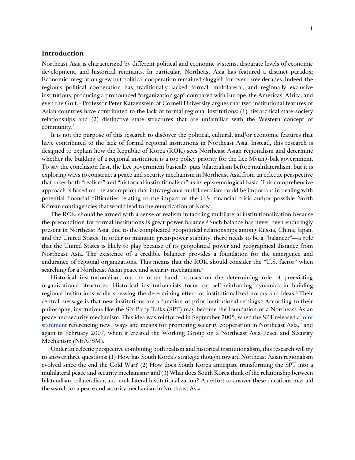#### **Introduction**

Northeast Asia is characterized by different political and economic systems, disparate levels of economic development, and historical remnants. In particular, Northeast Asia has featured a distinct paradox: Economic integration grew but political cooperation remained sluggish for over three decades. Indeed, the region's political cooperation has traditionally lacked formal, multilateral, and regionally exclusive institutions, producing a pronounced "organization gap" compared with Europe, the Americas, Africa, and even the Gulf. <sup>1</sup> Professor Peter Katzenstein of Cornell University argues that two institutional features of Asian countries have contributed to the lack of formal regional institutions: (1) hierarchical state-society relationships and (2) distinctive state structures that are unfamiliar with the Western concept of community.<sup>2</sup>

It is not the purpose of this research to discover the political, cultural, and/or economic features that have contributed to the lack of formal regional institutions in Northeast Asia. Instead, this research is designed to explain how the Republic of Korea (ROK) sees Northeast Asian regionalism and determine whether the building of a regional institution is a top policy priority for the Lee Myung-bak government. To say the conclusion first, the Lee government basically puts bilateralism before multilateralism, but it is exploring ways to construct a peace and security mechanism in Northeast Asia from an eclectic perspective that takes both "realism" and "historical institutionalism" as its epistemological basic. This comprehensive approach is based on the assumption that intraregional multilateralism could be important in dealing with potential financial difficulties relating to the impact of the U.S. financial crisis and/or possible North Korean contingencies that would lead to the reunification of Korea.

The ROK should be armed with a sense of realism in tackling multilateral institutionalization because the precondition for formal institutions is great-power balance.<sup>3</sup> Such balance has never been enduringly present in Northeast Asia, due to the complicated geopolitical relationships among Russia, China, Japan, and the United States. In order to maintain great-power stability, there needs to be a "balancer"—a role that the United States is likely to play because of its geopolitical power and geographical distance from Northeast Asia. The existence of a credible balancer provides a foundation for the emergence and endurance of regional organizations. This means that the ROK should consider the "U.S. factor" when searching for a Northeast Asian peace and security mechanism.<sup>4</sup>

Historical institutionalism, on the other hand, focuses on the determining role of preexisting organizational structures. Historical institutionalists focus on self-reinforcing dynamics in building regional institutions while stressing the determining effect of institutionalized norms and ideas.<sup>5</sup> Their central message is that new institutions are a function of prior institutional settings.<sup>6</sup> According to their philosophy, institutions like the Six Party Talks (SPT) may become the foundation of a Northeast Asian peace and security mechanism. This idea was reinforced in September 2005, when the SPT released [a joint](http://www.fmprc.gov.cn/eng/zxxx/t212707.htm)  [statement](http://www.fmprc.gov.cn/eng/zxxx/t212707.htm) referencing new "ways and means for promoting security cooperation in Northeast Asia," and again in February 2007, when it created the Working Group on a Northeast Asia Peace and Security Mechanism (NEAPSM).

Under an eclectic perspective combining both realism and historical institutionalism, this research will try to answer three questions: (1) How has South Korea's strategic thought toward Northeast Asian regionalism evolved since the end the Cold War? (2) How does South Korea anticipate transforming the SPT into a multilateral peace and security mechanism? and (3) What does South Korea think of the relationship between bilateralism, trilateralism, and multilateral institutionalization? An effort to answer these questions may aid the search for a peace and security mechanism in Northeast Asia.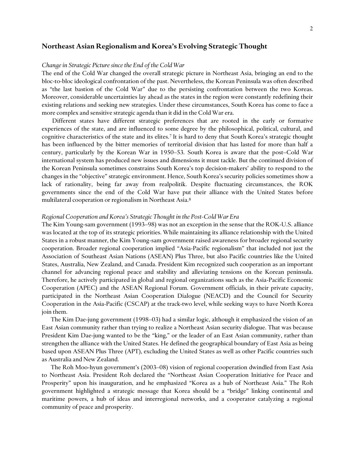#### **Northeast Asian Regionalism and Korea's Evolving Strategic Thought**

#### *Change in Strategic Picture since the End of the Cold War*

The end of the Cold War changed the overall strategic picture in Northeast Asia, bringing an end to the bloc-to-bloc ideological confrontation of the past. Nevertheless, the Korean Peninsula was often described as "the last bastion of the Cold War" due to the persisting confrontation between the two Koreas. Moreover, considerable uncertainties lay ahead as the states in the region were constantly redefining their existing relations and seeking new strategies. Under these circumstances, South Korea has come to face a more complex and sensitive strategic agenda than it did in the Cold War era.

Different states have different strategic preferences that are rooted in the early or formative experiences of the state, and are influenced to some degree by the philosophical, political, cultural, and cognitive characteristics of the state and its elites.<sup>7</sup> It is hard to deny that South Korea's strategic thought has been influenced by the bitter memories of territorial division that has lasted for more than half a century, particularly by the Korean War in 1950–53. South Korea is aware that the post–Cold War international system has produced new issues and dimensions it must tackle. But the continued division of the Korean Peninsula sometimes constrains South Korea's top decision-makers' ability to respond to the changes in the "objective" strategic environment. Hence, South Korea's security policies sometimes show a lack of rationality, being far away from realpolitik. Despite fluctuating circumstances, the ROK governments since the end of the Cold War have put their alliance with the United States before multilateral cooperation or regionalism in Northeast Asia.<sup>8</sup>

#### *Regional Cooperation and Korea's Strategic Thought in the Post-Cold War Era*

The Kim Young-sam government (1993–98) was not an exception in the sense that the ROK-U.S. alliance was located at the top of its strategic priorities. While maintaining its alliance relationship with the United States in a robust manner, the Kim Young-sam government raised awareness for broader regional security cooperation. Broader regional cooperation implied "Asia-Pacific regionalism" that included not just the Association of Southeast Asian Nations (ASEAN) Plus Three, but also Pacific countries like the United States, Australia, New Zealand, and Canada. President Kim recognized such cooperation as an important channel for advancing regional peace and stability and alleviating tensions on the Korean peninsula. Therefore, he actively participated in global and regional organizations such as the Asia-Pacific Economic Cooperation (APEC) and the ASEAN Regional Forum. Government officials, in their private capacity, participated in the Northeast Asian Cooperation Dialogue (NEACD) and the Council for Security Cooperation in the Asia-Pacific (CSCAP) at the track-two level, while seeking ways to have North Korea join them.

The Kim Dae-jung government (1998–03) had a similar logic, although it emphasized the vision of an East Asian community rather than trying to realize a Northeast Asian security dialogue. That was because President Kim Dae-jung wanted to be the "king," or the leader of an East Asian community, rather than strengthen the alliance with the United States. He defined the geographical boundary of East Asia as being based upon ASEAN Plus Three (APT), excluding the United States as well as other Pacific countries such as Australia and New Zealand.

The Roh Moo-hyun government's (2003–08) vision of regional cooperation dwindled from East Asia to Northeast Asia. President Roh declared the "Northeast Asian Cooperation Initiative for Peace and Prosperity" upon his inauguration, and he emphasized "Korea as a hub of Northeast Asia." The Roh government highlighted a strategic message that Korea should be a "bridge" linking continental and maritime powers, a hub of ideas and interregional networks, and a cooperator catalyzing a regional community of peace and prosperity.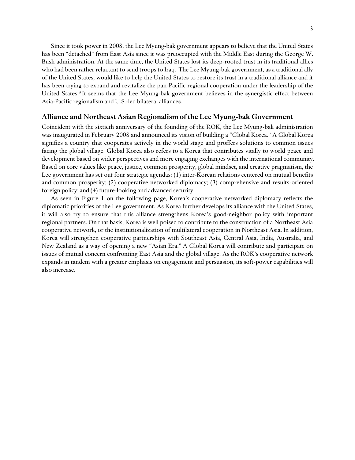3

Since it took power in 2008, the Lee Myung-bak government appears to believe that the United States has been "detached" from East Asia since it was preoccupied with the Middle East during the George W. Bush administration. At the same time, the United States lost its deep-rooted trust in its traditional allies who had been rather reluctant to send troops to Iraq. The Lee Myung-bak government, as a traditional ally of the United States, would like to help the United States to restore its trust in a traditional alliance and it has been trying to expand and revitalize the pan-Pacific regional cooperation under the leadership of the United States.<sup>9</sup> It seems that the Lee Myung-bak government believes in the synergistic effect between Asia-Pacific regionalism and U.S.-led bilateral alliances.

# **Alliance and Northeast Asian Regionalism of the Lee Myung-bak Government**

Coincident with the sixtieth anniversary of the founding of the ROK, the Lee Myung-bak administration was inaugurated in February 2008 and announced its vision of building a "Global Korea." A Global Korea signifies a country that cooperates actively in the world stage and proffers solutions to common issues facing the global village. Global Korea also refers to a Korea that contributes vitally to world peace and development based on wider perspectives and more engaging exchanges with the international community. Based on core values like peace, justice, common prosperity, global mindset, and creative pragmatism, the Lee government has set out four strategic agendas: (1) inter-Korean relations centered on mutual benefits and common prosperity; (2) cooperative networked diplomacy; (3) comprehensive and results-oriented foreign policy; and (4) future-looking and advanced security.

As seen in Figure 1 on the following page, Korea's cooperative networked diplomacy reflects the diplomatic priorities of the Lee government. As Korea further develops its alliance with the United States, it will also try to ensure that this alliance strengthens Korea's good-neighbor policy with important regional partners. On that basis, Korea is well poised to contribute to the construction of a Northeast Asia cooperative network, or the institutionalization of multilateral cooperation in Northeast Asia. In addition, Korea will strengthen cooperative partnerships with Southeast Asia, Central Asia, India, Australia, and New Zealand as a way of opening a new "Asian Era." A Global Korea will contribute and participate on issues of mutual concern confronting East Asia and the global village. As the ROK's cooperative network expands in tandem with a greater emphasis on engagement and persuasion, its soft-power capabilities will also increase.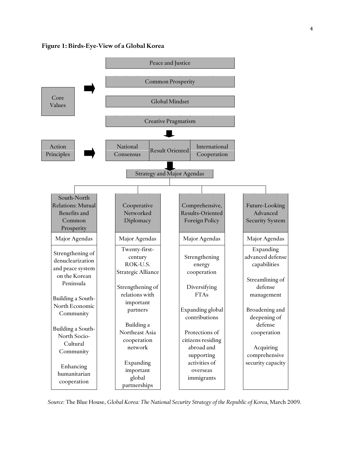

*Source:* The Blue House, *Global Korea: The National Security Strategy of the Republic of Korea,* March 2009.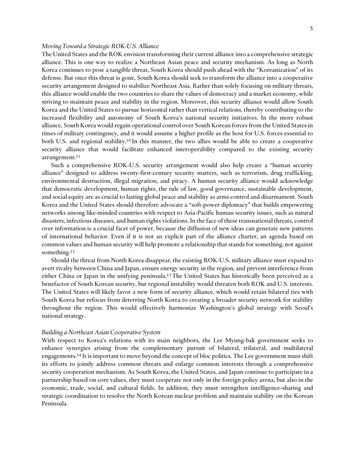#### *Moving Toward a Strategic ROK-U.S. Alliance*

The United States and the ROK envision transforming their current alliance into a comprehensive strategic alliance. This is one way to realize a Northeast Asian peace and security mechanism. As long as North Korea continues to pose a tangible threat, South Korea should push ahead with the "Koreanization" of its defense. But once this threat is gone, South Korea should seek to transform the alliance into a cooperative security arrangement designed to stabilize Northeast Asia. Rather than solely focusing on military threats, this alliance would enable the two countries to share the values of democracy and a market economy, while striving to maintain peace and stability in the region. Moreover, this security alliance would allow South Korea and the United States to pursue horizontal rather than vertical relations, thereby contributing to the increased flexibility and autonomy of South Korea's national security initiatives. In the more robust alliance, South Korea would regain operational control over South Korean forces from the United States in times of military contingency, and it would assume a higher profile as the host for U.S. forces essential to both U.S. and regional stability.<sup>10</sup> In this manner, the two allies would be able to create a cooperative security alliance that would facilitate enhanced interoperability compared to the existing security arrangement.<sup>11</sup>

Such a comprehensive ROK-U.S. security arrangement would also help create a "human security alliance‖ designed to address twenty-first-century security matters, such as terrorism, drug trafficking, environmental destruction, illegal migration, and piracy. A human security alliance would acknowledge that democratic development, human rights, the rule of law, good governance, sustainable development, and social equity are as crucial to lasting global peace and stability as arms control and disarmament. South Korea and the United States should therefore advocate a "soft-power diplomacy" that builds empowering networks among like-minded countries with respect to Asia-Pacific human security issues, such as natural disasters, infectious diseases, and human rights violations. In the face of these transnational threats, control over information is a crucial facet of power, because the diffusion of new ideas can generate new patterns of international behavior. Even if it is not an explicit part of the alliance charter, an agenda based on common values and human security will help promote a relationship that stands for something, not against something.<sup>12</sup>

Should the threat from North Korea disappear, the existing ROK-U.S. military alliance must expand to avert rivalry between China and Japan, ensure energy security in the region, and prevent interference from either China or Japan in the unifying peninsula. <sup>13</sup> The United States has historically been perceived as a benefactor of South Korean security, but regional instability would threaten both ROK and U.S. interests. The United States will likely favor a new form of security alliance, which would retain bilateral ties with South Korea but refocus from deterring North Korea to creating a broader security network for stability throughout the region. This would effectively harmonize Washington's global strategy with Seoul's national strategy.

#### *Building a Northeast Asian Cooperative System*

With respect to Korea's relations with its main neighbors, the Lee Myung-bak government seeks to enhance synergies arising from the complementary pursuit of bilateral, trilateral, and multilateral engagements.<sup>14</sup> It is important to move beyond the concept of bloc politics. The Lee government must shift its efforts to jointly address common threats and enlarge common interests through a comprehensive security cooperation mechanism. As South Korea, the United States, and Japan continue to participate in a partnership based on core values, they must cooperate not only in the foreign policy arena, but also in the economic, trade, social, and cultural fields. In addition, they must strengthen intelligence-sharing and strategic coordination to resolve the North Korean nuclear problem and maintain stability on the Korean Peninsula.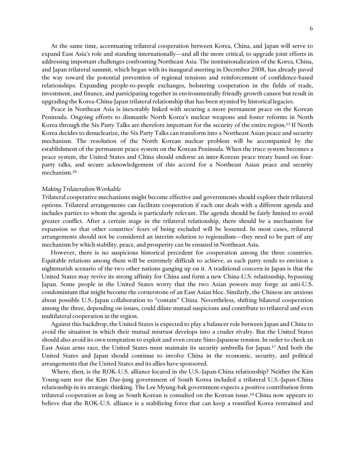At the same time, accentuating trilateral cooperation between Korea, China, and Japan will serve to expand East Asia's role and standing internationally—and all the more critical, to upgrade joint efforts in addressing important challenges confronting Northeast Asia. The institutionalization of the Korea, China, and Japan trilateral summit, which began with its inaugural meeting in December 2008, has already paved the way toward the potential prevention of regional tensions and reinforcement of confidence-based relationships. Expanding people-to-people exchanges, bolstering cooperation in the fields of trade, investment, and finance, and participating together in environmentally friendly growth cannot but result in upgrading the Korea-China-Japan trilateral relationship that has been stymied by historical legacies.

Peace in Northeast Asia is inexorably linked with securing a more permanent peace on the Korean Peninsula. Ongoing efforts to dismantle North Korea's nuclear weapons and foster reforms in North Korea through the Six Party Talks are therefore important for the security of the entire region. <sup>15</sup> If North Korea decides to denuclearize, the Six Party Talks can transform into a Northeast Asian peace and security mechanism. The resolution of the North Korean nuclear problem will be accompanied by the establishment of the permanent peace system on the Korean Peninsula. When the truce system becomes a peace system, the United States and China should endorse an inter-Korean peace treaty based on fourparty talks, and secure acknowledgement of this accord for a Northeast Asian peace and security mechanism.<sup>16</sup>

# *Making Trilateralism Workable*

Trilateral cooperative mechanisms might become effective and governments should explore their trilateral options. Trilateral arrangements can facilitate cooperation if each one deals with a different agenda and includes parties to whom the agenda is particularly relevant. The agenda should be fairly limited to avoid greater conflict. After a certain stage in the trilateral relationship, there should be a mechanism for expansion so that other countries' fears of being excluded will be lessened. In most cases, trilateral arrangements should not be considered an interim solution to regionalism—they need to be part of any mechanism by which stability, peace, and prosperity can be ensured in Northeast Asia.

However, there is no auspicious historical precedent for cooperation among the three countries. Equitable relations among them will be extremely difficult to achieve, as each party tends to envision a nightmarish scenario of the two other nations ganging up on it. A traditional concern in Japan is that the United States may revive its strong affinity for China and form a new China-U.S. relationship, bypassing Japan. Some people in the United States worry that the two Asian powers may forge an anti-U.S. condominium that might become the cornerstone of an East Asian bloc. Similarly, the Chinese are anxious about possible U.S.-Japan collaboration to "contain" China. Nevertheless, shifting bilateral cooperation among the three, depending on issues, could dilute mutual suspicions and contribute to trilateral and even multilateral cooperation in the region.

Against this backdrop, the United States is expected to play a balancer role between Japan and China to avoid the situation in which their mutual mistrust develops into a cruder rivalry. But the United States should also avoid its own temptation to exploit and even create Sino-Japanese tension. In order to check an East Asian arms race, the United States must maintain its security umbrella for Japan.<sup>17</sup> And both the United States and Japan should continue to involve China in the economic, security, and political arrangements that the United States and its allies have sponsored.

Where, then, is the ROK-U.S. alliance located in the U.S.-Japan-China relationship? Neither the Kim Young-sam nor the Kim Dae-jung government of South Korea included a trilateral U.S.-Japan-China relationship in its strategic thinking. The Lee Myung-bak government expects a positive contribution from trilateral cooperation as long as South Korean is consulted on the Korean issue.<sup>18</sup> China now appears to believe that the ROK-U.S. alliance is a stabilizing force that can keep a reunified Korea restrained and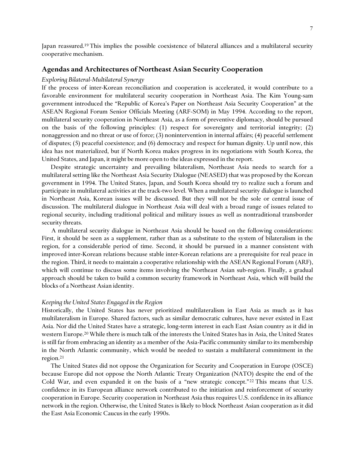7

Japan reassured.<sup>19</sup> This implies the possible coexistence of bilateral alliances and a multilateral security cooperative mechanism.

#### **Agendas and Architectures of Northeast Asian Security Cooperation**

#### *Exploring Bilateral-Multilateral Synergy*

If the process of inter-Korean reconciliation and cooperation is accelerated, it would contribute to a favorable environment for multilateral security cooperation in Northeast Asia. The Kim Young-sam government introduced the "Republic of Korea's Paper on Northeast Asia Security Cooperation" at the ASEAN Regional Forum Senior Officials Meeting (ARF-SOM) in May 1994. According to the report, multilateral security cooperation in Northeast Asia, as a form of preventive diplomacy, should be pursued on the basis of the following principles: (1) respect for sovereignty and territorial integrity; (2) nonaggression and no threat or use of force; (3) nonintervention in internal affairs; (4) peaceful settlement of disputes; (5) peaceful coexistence; and (6) democracy and respect for human dignity. Up until now, this idea has not materialized, but if North Korea makes progress in its negotiations with South Korea, the United States, and Japan, it might be more open to the ideas expressed in the report.

Despite strategic uncertainty and prevailing bilateralism, Northeast Asia needs to search for a multilateral setting like the Northeast Asia Security Dialogue (NEASED) that was proposed by the Korean government in 1994. The United States, Japan, and South Korea should try to realize such a forum and participate in multilateral activities at the track-two level. When a multilateral security dialogue is launched in Northeast Asia, Korean issues will be discussed. But they will not be the sole or central issue of discussion. The multilateral dialogue in Northeast Asia will deal with a broad range of issues related to regional security, including traditional political and military issues as well as nontraditional transborder security threats.

A multilateral security dialogue in Northeast Asia should be based on the following considerations: First, it should be seen as a supplement, rather than as a substitute to the system of bilateralism in the region, for a considerable period of time. Second, it should be pursued in a manner consistent with improved inter-Korean relations because stable inter-Korean relations are a prerequisite for real peace in the region. Third, it needs to maintain a cooperative relationship with the ASEAN Regional Forum (ARF), which will continue to discuss some items involving the Northeast Asian sub-region. Finally, a gradual approach should be taken to build a common security framework in Northeast Asia, which will build the blocks of a Northeast Asian identity.

#### *Keeping the United States Engaged in the Region*

Historically, the United States has never prioritized multilateralism in East Asia as much as it has multilateralism in Europe. Shared factors, such as similar democratic cultures, have never existed in East Asia. Nor did the United States have a strategic, long-term interest in each East Asian country as it did in western Europe.<sup>20</sup> While there is much talk of the interests the United States has in Asia, the United States is still far from embracing an identity as a member of the Asia-Pacific community similar to its membership in the North Atlantic community, which would be needed to sustain a multilateral commitment in the region. 21

The United States did not oppose the Organization for Security and Cooperation in Europe (OSCE) because Europe did not oppose the North Atlantic Treaty Organization (NATO) despite the end of the Cold War, and even expanded it on the basis of a "new strategic concept."<sup>22</sup> This means that U.S. confidence in its European alliance network contributed to the initiation and reinforcement of security cooperation in Europe. Security cooperation in Northeast Asia thus requires U.S. confidence in its alliance network in the region. Otherwise, the United States is likely to block Northeast Asian cooperation as it did the East Asia Economic Caucus in the early 1990s.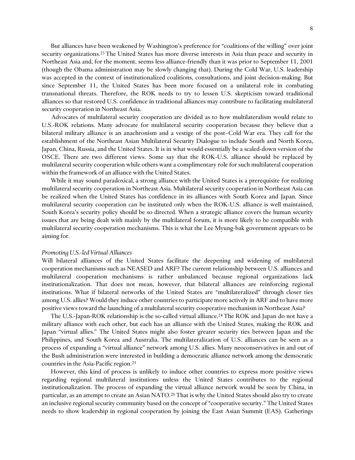But alliances have been weakened by Washington's preference for "coalitions of the willing" over joint security organizations. <sup>23</sup> The United States has more diverse interests in Asia than peace and security in Northeast Asia and, for the moment, seems less alliance-friendly than it was prior to September 11, 2001 (though the Obama administration may be slowly changing that). During the Cold War, U.S. leadership was accepted in the context of institutionalized coalitions, consultations, and joint decision-making. But since September 11, the United States has been more focused on a unilateral role in combating transnational threats. Therefore, the ROK needs to try to lessen U.S. skepticism toward traditional alliances so that restored U.S. confidence in traditional alliances may contribute to facilitating multilateral security cooperation in Northeast Asia.

Advocates of multilateral security cooperation are divided as to how multilateralism would relate to U.S.-ROK relations. Many advocate for multilateral security cooperation because they believe that a bilateral military alliance is an anachronism and a vestige of the post–Cold War era. They call for the establishment of the Northeast Asian Multilateral Security Dialogue to include South and North Korea, Japan, China, Russia, and the United States. It is in what would essentially be a scaled-down version of the OSCE. There are two different views. Some say that the ROK-U.S. alliance should be replaced by multilateral security cooperation while others want a complimentary role for such multilateral cooperation within the framework of an alliance with the United States.

While it may sound paradoxical, a strong alliance with the United States is a prerequisite for realizing multilateral security cooperation in Northeast Asia. Multilateral security cooperation in Northeast Asia can be realized when the United States has confidence in its alliances with South Korea and Japan. Since multilateral security cooperation can be instituted only when the ROK-U.S. alliance is well maintained, South Korea's security policy should be so directed. When a strategic alliance covers the human security issues that are being dealt with mainly by the multilateral forum, it is more likely to be compatible with multilateral security cooperation mechanisms. This is what the Lee Myung-bak government appears to be aiming for.

#### *Promoting U.S.-led Virtual Alliances*

Will bilateral alliances of the United States facilitate the deepening and widening of multilateral cooperation mechanisms such as NEASED and ARF? The current relationship between U.S. alliances and multilateral cooperation mechanisms is rather unbalanced because regional organizations lack institutionalization. That does not mean, however, that bilateral alliances are reinforcing regional institutions. What if bilateral networks of the United States are "multilateralized" through closer ties among U.S. allies? Would they induce other countries to participate more actively in ARF and to have more positive views toward the launching of a multilateral security cooperative mechanism in Northeast Asia?

The U.S.-Japan-ROK relationship is the so-called virtual alliance.<sup>24</sup> The ROK and Japan do not have a military alliance with each other, but each has an alliance with the United States, making the ROK and Japan "virtual allies." The United States might also foster greater security ties between Japan and the Philippines, and South Korea and Australia. The multilateralization of U.S. alliances can be seen as a process of expanding a "virtual alliance" network among U.S. allies. Many neoconservatives in and out of the Bush administration were interested in building a democratic alliance network among the democratic countries in the Asia-Pacific region.<sup>25</sup>

However, this kind of process is unlikely to induce other countries to express more positive views regarding regional multilateral institutions unless the United States contributes to the regional institutionalization. The process of expanding the virtual alliance network would be seen by China, in particular, as an attempt to create an Asian NATO.<sup>26</sup> That is why the United States should also try to create an inclusive regional security community based on the concept of "cooperative security." The United States needs to show leadership in regional cooperation by joining the East Asian Summit (EAS). Gatherings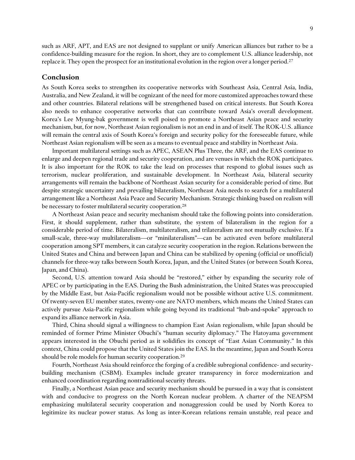such as ARF, APT, and EAS are not designed to supplant or unify American alliances but rather to be a confidence-building measure for the region. In short, they are to complement U.S. alliance leadership, not replace it. They open the prospect for an institutional evolution in the region over a longer period.<sup>27</sup>

### **Conclusion**

As South Korea seeks to strengthen its cooperative networks with Southeast Asia, Central Asia, India, Australia, and New Zealand, it will be cognizant of the need for more customized approaches toward these and other countries. Bilateral relations will be strengthened based on critical interests. But South Korea also needs to enhance cooperative networks that can contribute toward Asia's overall development. Korea's Lee Myung-bak government is well poised to promote a Northeast Asian peace and security mechanism, but, for now, Northeast Asian regionalism is not an end in and of itself. The ROK-U.S. alliance will remain the central axis of South Korea's foreign and security policy for the foreseeable future, while Northeast Asian regionalism will be seen as a means to eventual peace and stability in Northeast Asia.

Important multilateral settings such as APEC, ASEAN Plus Three, the ARF, and the EAS continue to enlarge and deepen regional trade and security cooperation, and are venues in which the ROK participates. It is also important for the ROK to take the lead on processes that respond to global issues such as terrorism, nuclear proliferation, and sustainable development. In Northeast Asia, bilateral security arrangements will remain the backbone of Northeast Asian security for a considerable period of time. But despite strategic uncertainty and prevailing bilateralism, Northeast Asia needs to search for a multilateral arrangement like a Northeast Asia Peace and Security Mechanism. Strategic thinking based on realism will be necessary to foster multilateral security cooperation.<sup>28</sup>

A Northeast Asian peace and security mechanism should take the following points into consideration. First, it should supplement, rather than substitute, the system of bilateralism in the region for a considerable period of time. Bilateralism, multilateralism, and trilateralism are not mutually exclusive. If a small-scale, three-way multilateralism—or "minilateralism"—can be activated even before multilateral cooperation among SPT members, it can catalyze security cooperation in the region. Relations between the United States and China and between Japan and China can be stabilized by opening (official or unofficial) channels for three-way talks between South Korea, Japan, and the United States (or between South Korea, Japan, and China).

Second, U.S. attention toward Asia should be "restored," either by expanding the security role of APEC or by participating in the EAS. During the Bush administration, the United States was preoccupied by the Middle East, but Asia-Pacific regionalism would not be possible without active U.S. commitment. Of twenty-seven EU member states, twenty-one are NATO members, which means the United States can actively pursue Asia-Pacific regionalism while going beyond its traditional "hub-and-spoke" approach to expand its alliance network in Asia.

Third, China should signal a willingness to champion East Asian regionalism, while Japan should be reminded of former Prime Minister Obuchi's "human security diplomacy." The Hatoyama government appears interested in the Obuchi period as it solidifies its concept of "East Asian Community." In this context, China could propose that the United States join the EAS. In the meantime, Japan and South Korea should be role models for human security cooperation.<sup>29</sup>

Fourth, Northeast Asia should reinforce the forging of a credible subregional confidence- and securitybuilding mechanism (CSBM). Examples include greater transparency in force modernization and enhanced coordination regarding nontraditional security threats.

Finally, a Northeast Asian peace and security mechanism should be pursued in a way that is consistent with and conducive to progress on the North Korean nuclear problem. A charter of the NEAPSM emphasizing multilateral security cooperation and nonaggression could be used by North Korea to legitimize its nuclear power status. As long as inter-Korean relations remain unstable, real peace and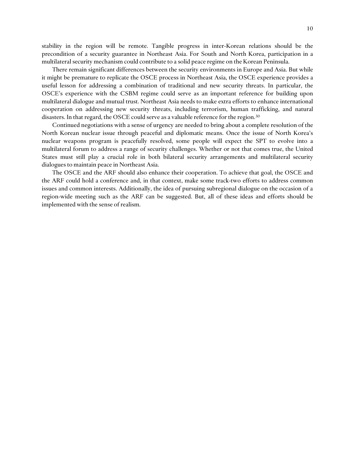stability in the region will be remote. Tangible progress in inter-Korean relations should be the precondition of a security guarantee in Northeast Asia. For South and North Korea, participation in a multilateral security mechanism could contribute to a solid peace regime on the Korean Peninsula.

There remain significant differences between the security environments in Europe and Asia. But while it might be premature to replicate the OSCE process in Northeast Asia, the OSCE experience provides a useful lesson for addressing a combination of traditional and new security threats. In particular, the OSCE's experience with the CSBM regime could serve as an important reference for building upon multilateral dialogue and mutual trust. Northeast Asia needs to make extra efforts to enhance international cooperation on addressing new security threats, including terrorism, human trafficking, and natural disasters. In that regard, the OSCE could serve as a valuable reference for the region.<sup>30</sup>

Continued negotiations with a sense of urgency are needed to bring about a complete resolution of the North Korean nuclear issue through peaceful and diplomatic means. Once the issue of North Korea's nuclear weapons program is peacefully resolved, some people will expect the SPT to evolve into a multilateral forum to address a range of security challenges. Whether or not that comes true, the United States must still play a crucial role in both bilateral security arrangements and multilateral security dialogues to maintain peace in Northeast Asia.

The OSCE and the ARF should also enhance their cooperation. To achieve that goal, the OSCE and the ARF could hold a conference and, in that context, make some track-two efforts to address common issues and common interests. Additionally, the idea of pursuing subregional dialogue on the occasion of a region-wide meeting such as the ARF can be suggested. But, all of these ideas and efforts should be implemented with the sense of realism.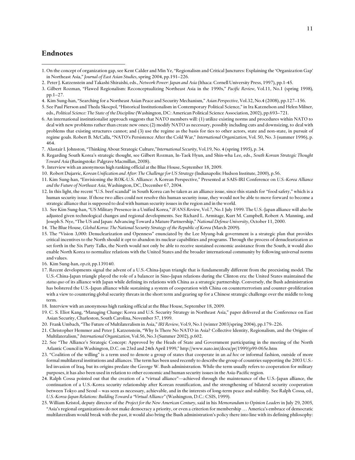# **Endnotes**

 $\overline{a}$ 

- 1. On the concept of organization gap, see Kent Calder and Min Ye, "Regionalism and Critical Junctures: Explaining the 'Organization Gap' in Northeast Asia," *Journal of East Asian Studies*, spring 2004, pp.191-226.
- 2. Peter J. Katzenstein and Takashi Shiraishi, eds., *Network Power: Japan and Asia* (Ithaca: Cornell University Press, 1997), pp.1-45.
- 3. Gilbert Rozman, "Flawed Regionalism: Reconceptualizing Northeast Asia in the 1990s," Pacific Review, Vol.11, No.1 (spring 1998),  $pp.1 - 27.$
- 4. Kim Sung-han, "Searching for a Northeast Asian Peace and Security Mechanism," Asian Perspective, Vol.32, No.4 (2008), pp.127-156.
- 5. See Paul Pierson and Theda Skocpol, "Historical Institutionalism in Contemporary Political Science," in Ira Katznelson and Helen Milner, eds., *Political Science: The State of the Discipline* (Washington, DC: American Political Science Association, 2002), pp.693-721.
- 6. An international institutionalist approach suggests that NATO members will: (1) utilize existing norms and procedures within NATO to deal with new problems rather than create new ones; (2) modify NATO as necessary, possibly including cuts and downsizing, to deal with problems that existing structures cannot; and (3) use the regime as the basis for ties to other actors, state and non-state, in pursuit of regime goals. Robert B. McCalla, "NATO's Persistence After the Cold War," *International Organization*, Vol. 50, No. 3 (summer 1996), p. 464.
- 7. Alastair I. Johnston, "Thinking About Strategic Culture,"*International Security*, Vol.19, No. 4 (spring 1995), p. 34.
- 8. Regarding South Korea's strategic thought, see Gilbert Rozman, In-Taek Hyun, and Shin-wha Lee, eds., *South Korean Strategic Thought Toward Asia* (Basingstoke: Palgrave Macmillan, 2008).
- 9 . Interview with an anonymous high ranking official at the Blue House, September 18, 2009.
- 10. Robert Dujarric, *Korean Unification and After: The Challenge for US Strategy* (Indianapolis: Hudson Institute, 2000), p.56.
- 11. Kim Sung-han, "Envisioning the ROK-U.S. Alliance: A Korean Perspective," Presented at SAIS-IRI Conference on U.S.-Korea Alliance *and the Future of Northeast Asia*, Washington, DC, December 67, 2004.
- 12. In this light, the recent "U.S. beef scandal" in South Korea can be taken as an alliance issue, since this stands for "food safety," which is a human security issue. If those two allies could not resolve this human security issue, they would not be able to move forward to become a strategic alliance that is supposed to deal with human security issues in the region and in the world.
- 13. See Kim Sung-han, "US Military Presence in a Unified Korea," IFANS Review, Vol.7, No.1 July 1999. The U.S.-Japan alliance will also be adjusted given technological changes and regional developments. See Richard L. Armitage, Kurt M. Campbell, Robert A. Manning, and Joseph S. Nye, "The US and Japan: Advancing Toward a Mature Partnership," *National Defense University*, October 11, 2000.
- 14. The Blue House, *Global Korea: The National Security Strategy of the Republic of Korea* (March 2009).
- 15. The "Vision 3,000: Denuclearization and Openness" enunciated by the Lee Myung-bak government is a strategic plan that provides critical incentives to the North should it opt to abandon its nuclear capabilities and programs. Through the process of denuclearization as set forth in the Six Party Talks, the North would not only be able to receive sustained economic assistance from the South, it would also enable North Korea to normalize relations with the United States and the broader international community by following universal norms and values.
- 16. Kim Sung-han, *op.cit,* pp.139140.
- 17. Recent developments signal the advent of a U.S.-China-Japan triangle that is fundamentally different from the preexisting model. The U.S.-China-Japan triangle played the role of a balancer in Sino-Japan relations during the Clinton era: the United States maintained the *status quo* of its alliance with Japan while defining its relations with China as a strategic partnership. Conversely, the Bush administration has bolstered the U.S.-Japan alliance while sustaining a system of cooperation with China on counterterrorism and counter-proliferation with a view to countering global security threats in the short term and gearing up for a Chinese strategic challenge over the middle to long term.
- 18. Interview with an anonymous high ranking official at the Blue House, September 18, 2009.
- 19. C. S. Eliot Kang, "Managing Change: Korea and U.S. Security Strategy in Northeast Asia," paper delivered at the Conference on East Asian Security, Charleston, South Carolina, November 57, 1999.
- 20. Frank Umbach, "The Future of Multilateralism in Asia," *IRI Review*, Vol.9, No.1 (winter 2003/spring 2004), pp.179-226.
- 21. Christopher Hemmer and Peter J. Katzenstein, "Why Is There No NATO in Asia? Collective Identity, Regionalism, and the Origins of Multilateralism,‖ *International Organization*, Vol.56, No.3 (Summer 2002), p.602.
- 22. See "The Alliance's Strategic Concept: Approved by the Heads of State and Government participating in the meeting of the North Atlantic Council in Washington, D.C. on 23rd and 24th April 1999," http://www.nato.int/docu/pr/1999/p99-065e.htm
- 23. "Coalition of the willing" is a term used to denote a group of states that cooperate in an *ad hoc* or informal fashion, outside of more formal multilateral institutions and alliances. The term has been used recently to describe the group of countries supporting the 2003 U.S.led invasion of Iraq, but its origins predate the George W. Bush administration. While the term usually refers to cooperation for military purposes, it has also been used in relation to other economic and human security issues in the Asia-Pacific region.
- 24. Ralph Cossa pointed out that the creation of a "virtual alliance"—achieved through the maintenance of the U.S.-Japan alliance, the continuation of a U.S.-Korea security relationship after Korean reunification, and the strengthening of bilateral security cooperation between Tokyo and Seoul – was seen as necessary, achievable, and in the interests of long-term peace and stability. See Ralph Cossa, ed., *U.S.-Korea-Japan Relations: Building Toward a "Virtual Alliance"* (Washington, D.C.: CSIS, 1999).
- 25. William Kristol, deputy director of the *Project for the New American Century*, said in his *Memorandum to Opinion Leaders* in July 29, 2005, ―Asia's regional organizations do not make democracy a priority, or even a criterion for membership … America's embrace of democratic multilateralism would break with the past, it would also bring the Bush administration's policy there into line with its defining philosophy: